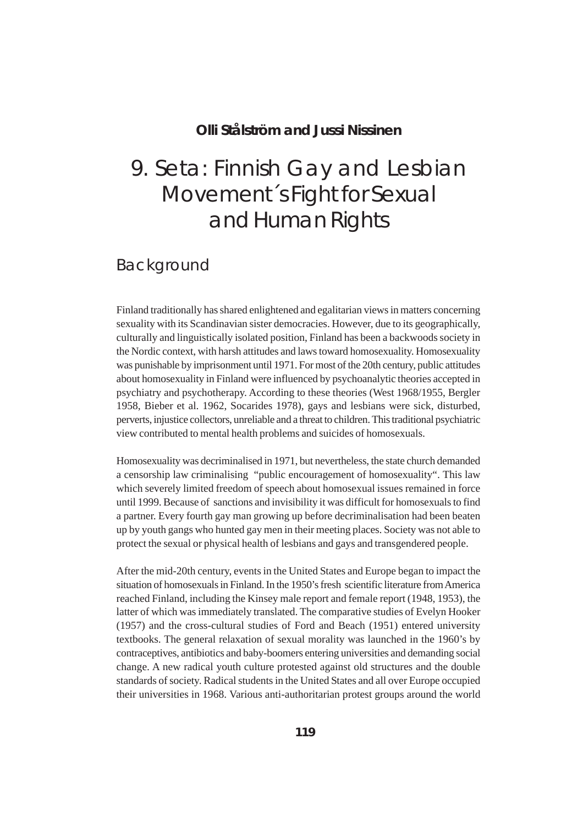#### **Olli Stålström and Jussi Nissinen**

# 9. Seta: Finnish Gay and Lesbian Movement´s Fight for Sexual and Human Rights

### Background

Finland traditionally has shared enlightened and egalitarian views in matters concerning sexuality with its Scandinavian sister democracies. However, due to its geographically, culturally and linguistically isolated position, Finland has been a backwoods society in the Nordic context, with harsh attitudes and laws toward homosexuality. Homosexuality was punishable by imprisonment until 1971. For most of the 20th century, public attitudes about homosexuality in Finland were influenced by psychoanalytic theories accepted in psychiatry and psychotherapy. According to these theories (West 1968/1955, Bergler 1958, Bieber et al. 1962, Socarides 1978), gays and lesbians were sick, disturbed, perverts, injustice collectors, unreliable and a threat to children. This traditional psychiatric view contributed to mental health problems and suicides of homosexuals.

Homosexuality was decriminalised in 1971, but nevertheless, the state church demanded a censorship law criminalising "public encouragement of homosexuality". This law which severely limited freedom of speech about homosexual issues remained in force until 1999. Because of sanctions and invisibility it was difficult for homosexuals to find a partner. Every fourth gay man growing up before decriminalisation had been beaten up by youth gangs who hunted gay men in their meeting places. Society was not able to protect the sexual or physical health of lesbians and gays and transgendered people.

After the mid-20th century, events in the United States and Europe began to impact the situation of homosexuals in Finland. In the 1950's fresh scientific literature from America reached Finland, including the Kinsey male report and female report (1948, 1953), the latter of which was immediately translated. The comparative studies of Evelyn Hooker (1957) and the cross-cultural studies of Ford and Beach (1951) entered university textbooks. The general relaxation of sexual morality was launched in the 1960's by contraceptives, antibiotics and baby-boomers entering universities and demanding social change. A new radical youth culture protested against old structures and the double standards of society. Radical students in the United States and all over Europe occupied their universities in 1968. Various anti-authoritarian protest groups around the world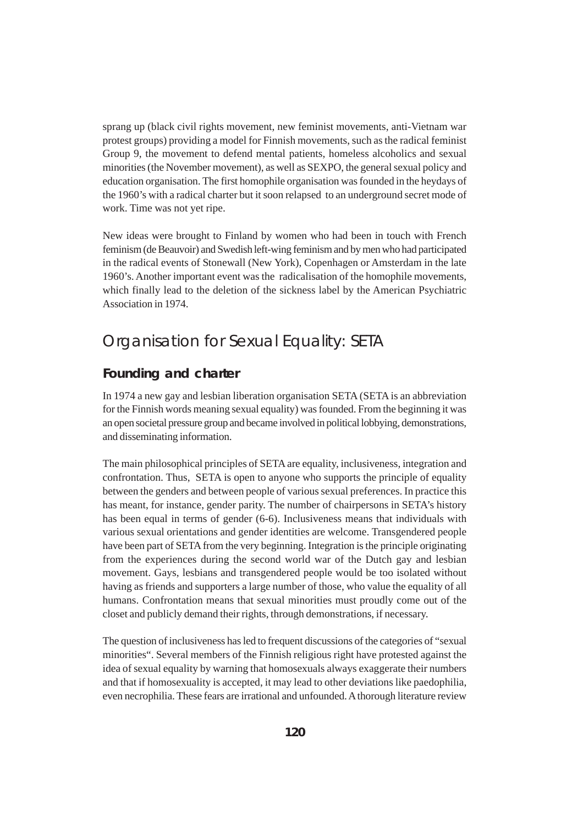sprang up (black civil rights movement, new feminist movements, anti-Vietnam war protest groups) providing a model for Finnish movements, such as the radical feminist Group 9, the movement to defend mental patients, homeless alcoholics and sexual minorities (the November movement), as well as SEXPO, the general sexual policy and education organisation. The first homophile organisation was founded in the heydays of the 1960's with a radical charter but it soon relapsed to an underground secret mode of work. Time was not yet ripe.

New ideas were brought to Finland by women who had been in touch with French feminism (de Beauvoir) and Swedish left-wing feminism and by men who had participated in the radical events of Stonewall (New York), Copenhagen or Amsterdam in the late 1960's. Another important event was the radicalisation of the homophile movements, which finally lead to the deletion of the sickness label by the American Psychiatric Association in 1974.

# Organisation for Sexual Equality: SETA

#### **Founding and charter**

In 1974 a new gay and lesbian liberation organisation SETA (SETA is an abbreviation for the Finnish words meaning sexual equality) was founded. From the beginning it was an open societal pressure group and became involved in political lobbying, demonstrations, and disseminating information.

The main philosophical principles of SETA are equality, inclusiveness, integration and confrontation. Thus, SETA is open to anyone who supports the principle of equality between the genders and between people of various sexual preferences. In practice this has meant, for instance, gender parity. The number of chairpersons in SETA's history has been equal in terms of gender (6-6). Inclusiveness means that individuals with various sexual orientations and gender identities are welcome. Transgendered people have been part of SETA from the very beginning. Integration is the principle originating from the experiences during the second world war of the Dutch gay and lesbian movement. Gays, lesbians and transgendered people would be too isolated without having as friends and supporters a large number of those, who value the equality of all humans. Confrontation means that sexual minorities must proudly come out of the closet and publicly demand their rights, through demonstrations, if necessary.

The question of inclusiveness has led to frequent discussions of the categories of "sexual minorities". Several members of the Finnish religious right have protested against the idea of sexual equality by warning that homosexuals always exaggerate their numbers and that if homosexuality is accepted, it may lead to other deviations like paedophilia, even necrophilia. These fears are irrational and unfounded. A thorough literature review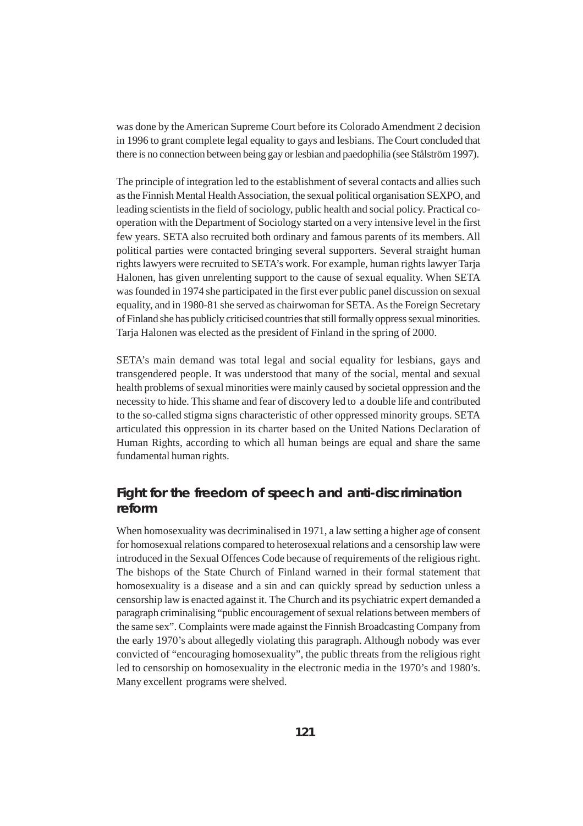was done by the American Supreme Court before its Colorado Amendment 2 decision in 1996 to grant complete legal equality to gays and lesbians. The Court concluded that there is no connection between being gay or lesbian and paedophilia (see Stålström 1997).

The principle of integration led to the establishment of several contacts and allies such as the Finnish Mental Health Association, the sexual political organisation SEXPO, and leading scientists in the field of sociology, public health and social policy. Practical cooperation with the Department of Sociology started on a very intensive level in the first few years. SETA also recruited both ordinary and famous parents of its members. All political parties were contacted bringing several supporters. Several straight human rights lawyers were recruited to SETA's work. For example, human rights lawyer Tarja Halonen, has given unrelenting support to the cause of sexual equality. When SETA was founded in 1974 she participated in the first ever public panel discussion on sexual equality, and in 1980-81 she served as chairwoman for SETA. As the Foreign Secretary of Finland she has publicly criticised countries that still formally oppress sexual minorities. Tarja Halonen was elected as the president of Finland in the spring of 2000.

SETA's main demand was total legal and social equality for lesbians, gays and transgendered people. It was understood that many of the social, mental and sexual health problems of sexual minorities were mainly caused by societal oppression and the necessity to hide. This shame and fear of discovery led to a double life and contributed to the so-called stigma signs characteristic of other oppressed minority groups. SETA articulated this oppression in its charter based on the United Nations Declaration of Human Rights, according to which all human beings are equal and share the same fundamental human rights.

#### **Fight for the freedom of speech and anti-discrimination reform**

When homosexuality was decriminalised in 1971, a law setting a higher age of consent for homosexual relations compared to heterosexual relations and a censorship law were introduced in the Sexual Offences Code because of requirements of the religious right. The bishops of the State Church of Finland warned in their formal statement that homosexuality is a disease and a sin and can quickly spread by seduction unless a censorship law is enacted against it. The Church and its psychiatric expert demanded a paragraph criminalising "public encouragement of sexual relations between members of the same sex". Complaints were made against the Finnish Broadcasting Company from the early 1970's about allegedly violating this paragraph. Although nobody was ever convicted of "encouraging homosexuality", the public threats from the religious right led to censorship on homosexuality in the electronic media in the 1970's and 1980's. Many excellent programs were shelved.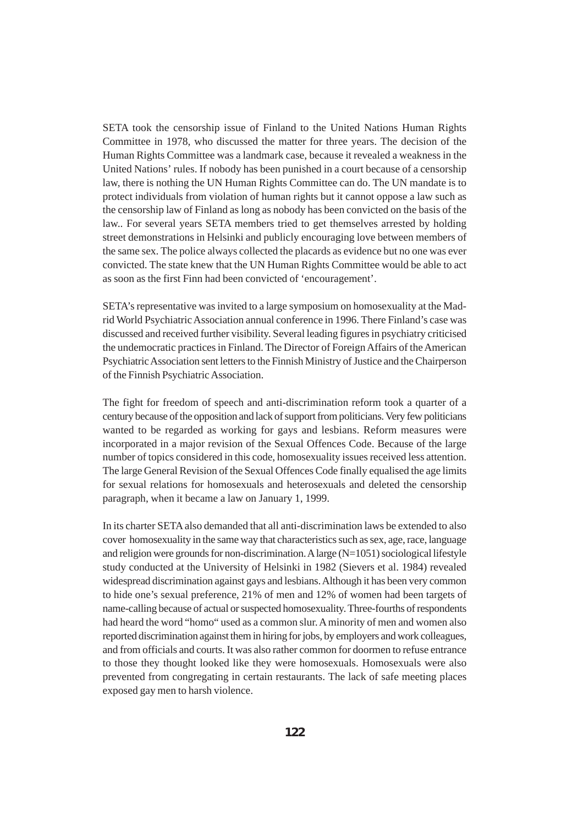SETA took the censorship issue of Finland to the United Nations Human Rights Committee in 1978, who discussed the matter for three years. The decision of the Human Rights Committee was a landmark case, because it revealed a weakness in the United Nations' rules. If nobody has been punished in a court because of a censorship law, there is nothing the UN Human Rights Committee can do. The UN mandate is to protect individuals from violation of human rights but it cannot oppose a law such as the censorship law of Finland as long as nobody has been convicted on the basis of the law.. For several years SETA members tried to get themselves arrested by holding street demonstrations in Helsinki and publicly encouraging love between members of the same sex. The police always collected the placards as evidence but no one was ever convicted. The state knew that the UN Human Rights Committee would be able to act as soon as the first Finn had been convicted of 'encouragement'.

SETA's representative was invited to a large symposium on homosexuality at the Madrid World Psychiatric Association annual conference in 1996. There Finland's case was discussed and received further visibility. Several leading figures in psychiatry criticised the undemocratic practices in Finland. The Director of Foreign Affairs of the American Psychiatric Association sent letters to the Finnish Ministry of Justice and the Chairperson of the Finnish Psychiatric Association.

The fight for freedom of speech and anti-discrimination reform took a quarter of a century because of the opposition and lack of support from politicians. Very few politicians wanted to be regarded as working for gays and lesbians. Reform measures were incorporated in a major revision of the Sexual Offences Code. Because of the large number of topics considered in this code, homosexuality issues received less attention. The large General Revision of the Sexual Offences Code finally equalised the age limits for sexual relations for homosexuals and heterosexuals and deleted the censorship paragraph, when it became a law on January 1, 1999.

In its charter SETA also demanded that all anti-discrimination laws be extended to also cover homosexuality in the same way that characteristics such as sex, age, race, language and religion were grounds for non-discrimination. A large  $(N=1051)$  sociological lifestyle study conducted at the University of Helsinki in 1982 (Sievers et al. 1984) revealed widespread discrimination against gays and lesbians. Although it has been very common to hide one's sexual preference, 21% of men and 12% of women had been targets of name-calling because of actual or suspected homosexuality. Three-fourths of respondents had heard the word "homo" used as a common slur. A minority of men and women also reported discrimination against them in hiring for jobs, by employers and work colleagues, and from officials and courts. It was also rather common for doormen to refuse entrance to those they thought looked like they were homosexuals. Homosexuals were also prevented from congregating in certain restaurants. The lack of safe meeting places exposed gay men to harsh violence.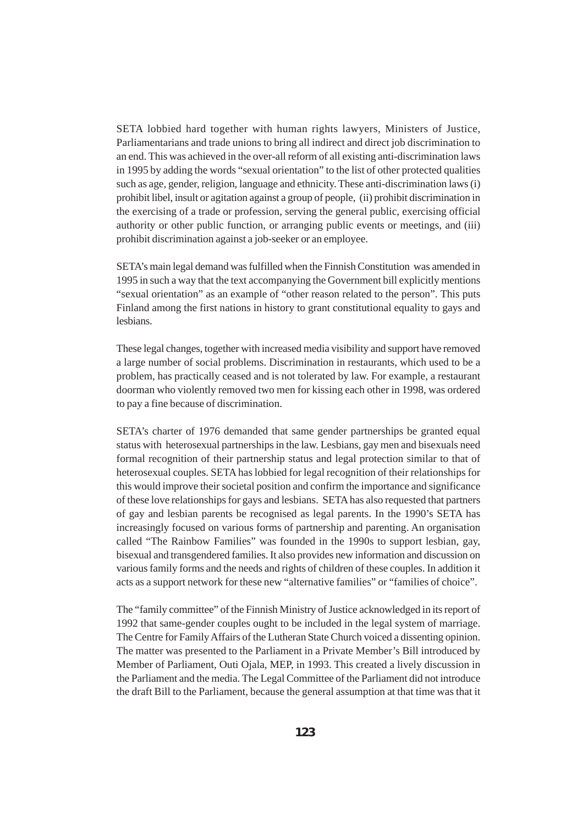SETA lobbied hard together with human rights lawyers, Ministers of Justice, Parliamentarians and trade unions to bring all indirect and direct job discrimination to an end. This was achieved in the over-all reform of all existing anti-discrimination laws in 1995 by adding the words "sexual orientation" to the list of other protected qualities such as age, gender, religion, language and ethnicity. These anti-discrimination laws (i) prohibit libel, insult or agitation against a group of people, (ii) prohibit discrimination in the exercising of a trade or profession, serving the general public, exercising official authority or other public function, or arranging public events or meetings, and (iii) prohibit discrimination against a job-seeker or an employee.

SETA's main legal demand was fulfilled when the Finnish Constitution was amended in 1995 in such a way that the text accompanying the Government bill explicitly mentions "sexual orientation" as an example of "other reason related to the person". This puts Finland among the first nations in history to grant constitutional equality to gays and lesbians.

These legal changes, together with increased media visibility and support have removed a large number of social problems. Discrimination in restaurants, which used to be a problem, has practically ceased and is not tolerated by law. For example, a restaurant doorman who violently removed two men for kissing each other in 1998, was ordered to pay a fine because of discrimination.

SETA's charter of 1976 demanded that same gender partnerships be granted equal status with heterosexual partnerships in the law. Lesbians, gay men and bisexuals need formal recognition of their partnership status and legal protection similar to that of heterosexual couples. SETA has lobbied for legal recognition of their relationships for this would improve their societal position and confirm the importance and significance of these love relationships for gays and lesbians. SETA has also requested that partners of gay and lesbian parents be recognised as legal parents. In the 1990's SETA has increasingly focused on various forms of partnership and parenting. An organisation called "The Rainbow Families" was founded in the 1990s to support lesbian, gay, bisexual and transgendered families. It also provides new information and discussion on various family forms and the needs and rights of children of these couples. In addition it acts as a support network for these new "alternative families" or "families of choice".

The "family committee" of the Finnish Ministry of Justice acknowledged in its report of 1992 that same-gender couples ought to be included in the legal system of marriage. The Centre for Family Affairs of the Lutheran State Church voiced a dissenting opinion. The matter was presented to the Parliament in a Private Member's Bill introduced by Member of Parliament, Outi Ojala, MEP, in 1993. This created a lively discussion in the Parliament and the media. The Legal Committee of the Parliament did not introduce the draft Bill to the Parliament, because the general assumption at that time was that it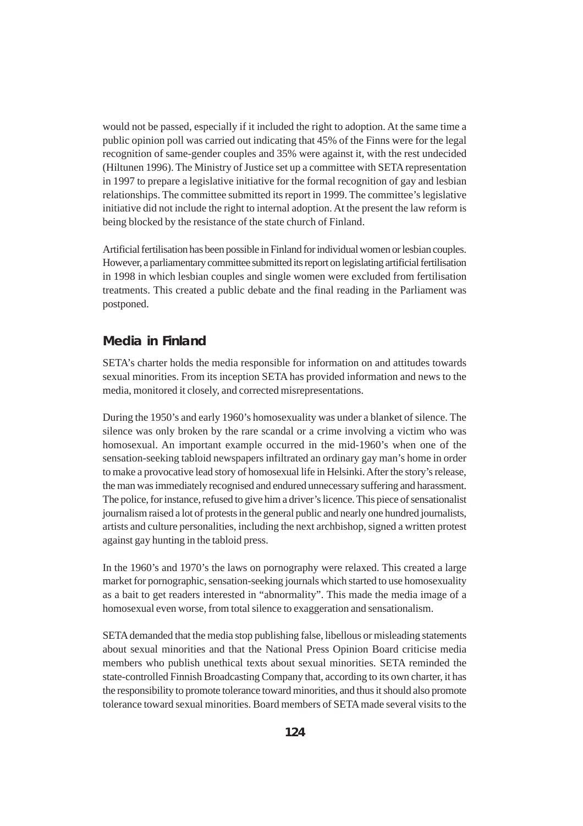would not be passed, especially if it included the right to adoption. At the same time a public opinion poll was carried out indicating that 45% of the Finns were for the legal recognition of same-gender couples and 35% were against it, with the rest undecided (Hiltunen 1996). The Ministry of Justice set up a committee with SETA representation in 1997 to prepare a legislative initiative for the formal recognition of gay and lesbian relationships. The committee submitted its report in 1999. The committee's legislative initiative did not include the right to internal adoption. At the present the law reform is being blocked by the resistance of the state church of Finland.

Artificial fertilisation has been possible in Finland for individual women or lesbian couples. However, a parliamentary committee submitted its report on legislating artificial fertilisation in 1998 in which lesbian couples and single women were excluded from fertilisation treatments. This created a public debate and the final reading in the Parliament was postponed.

#### **Media in Finland**

SETA's charter holds the media responsible for information on and attitudes towards sexual minorities. From its inception SETA has provided information and news to the media, monitored it closely, and corrected misrepresentations.

During the 1950's and early 1960's homosexuality was under a blanket of silence. The silence was only broken by the rare scandal or a crime involving a victim who was homosexual. An important example occurred in the mid-1960's when one of the sensation-seeking tabloid newspapers infiltrated an ordinary gay man's home in order to make a provocative lead story of homosexual life in Helsinki. After the story's release, the man was immediately recognised and endured unnecessary suffering and harassment. The police, for instance, refused to give him a driver's licence. This piece of sensationalist journalism raised a lot of protests in the general public and nearly one hundred journalists, artists and culture personalities, including the next archbishop, signed a written protest against gay hunting in the tabloid press.

In the 1960's and 1970's the laws on pornography were relaxed. This created a large market for pornographic, sensation-seeking journals which started to use homosexuality as a bait to get readers interested in "abnormality". This made the media image of a homosexual even worse, from total silence to exaggeration and sensationalism.

SETA demanded that the media stop publishing false, libellous or misleading statements about sexual minorities and that the National Press Opinion Board criticise media members who publish unethical texts about sexual minorities. SETA reminded the state-controlled Finnish Broadcasting Company that, according to its own charter, it has the responsibility to promote tolerance toward minorities, and thus it should also promote tolerance toward sexual minorities. Board members of SETA made several visits to the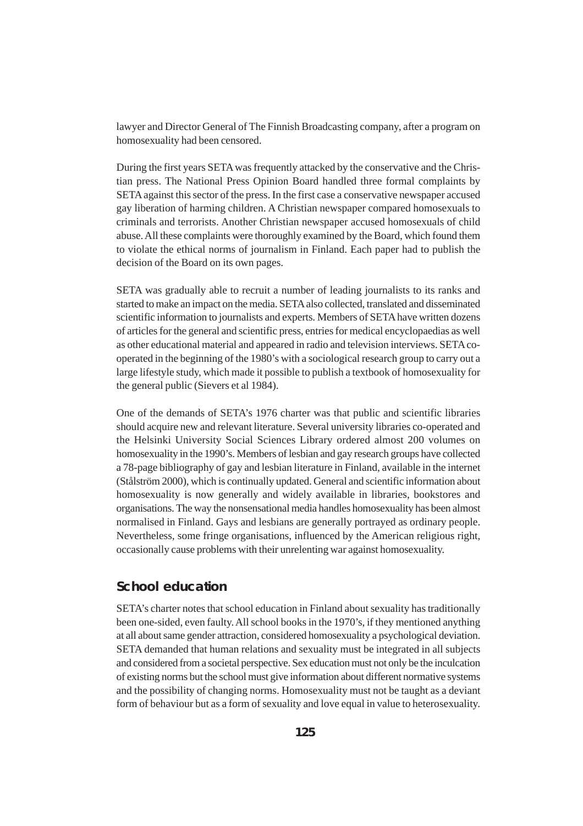lawyer and Director General of The Finnish Broadcasting company, after a program on homosexuality had been censored.

During the first years SETA was frequently attacked by the conservative and the Christian press. The National Press Opinion Board handled three formal complaints by SETA against this sector of the press. In the first case a conservative newspaper accused gay liberation of harming children. A Christian newspaper compared homosexuals to criminals and terrorists. Another Christian newspaper accused homosexuals of child abuse. All these complaints were thoroughly examined by the Board, which found them to violate the ethical norms of journalism in Finland. Each paper had to publish the decision of the Board on its own pages.

SETA was gradually able to recruit a number of leading journalists to its ranks and started to make an impact on the media. SETA also collected, translated and disseminated scientific information to journalists and experts. Members of SETA have written dozens of articles for the general and scientific press, entries for medical encyclopaedias as well as other educational material and appeared in radio and television interviews. SETA cooperated in the beginning of the 1980's with a sociological research group to carry out a large lifestyle study, which made it possible to publish a textbook of homosexuality for the general public (Sievers et al 1984).

One of the demands of SETA's 1976 charter was that public and scientific libraries should acquire new and relevant literature. Several university libraries co-operated and the Helsinki University Social Sciences Library ordered almost 200 volumes on homosexuality in the 1990's. Members of lesbian and gay research groups have collected a 78-page bibliography of gay and lesbian literature in Finland, available in the internet (Stålström 2000), which is continually updated. General and scientific information about homosexuality is now generally and widely available in libraries, bookstores and organisations. The way the nonsensational media handles homosexuality has been almost normalised in Finland. Gays and lesbians are generally portrayed as ordinary people. Nevertheless, some fringe organisations, influenced by the American religious right, occasionally cause problems with their unrelenting war against homosexuality.

#### **School education**

SETA's charter notes that school education in Finland about sexuality has traditionally been one-sided, even faulty. All school books in the 1970's, if they mentioned anything at all about same gender attraction, considered homosexuality a psychological deviation. SETA demanded that human relations and sexuality must be integrated in all subjects and considered from a societal perspective. Sex education must not only be the inculcation of existing norms but the school must give information about different normative systems and the possibility of changing norms. Homosexuality must not be taught as a deviant form of behaviour but as a form of sexuality and love equal in value to heterosexuality.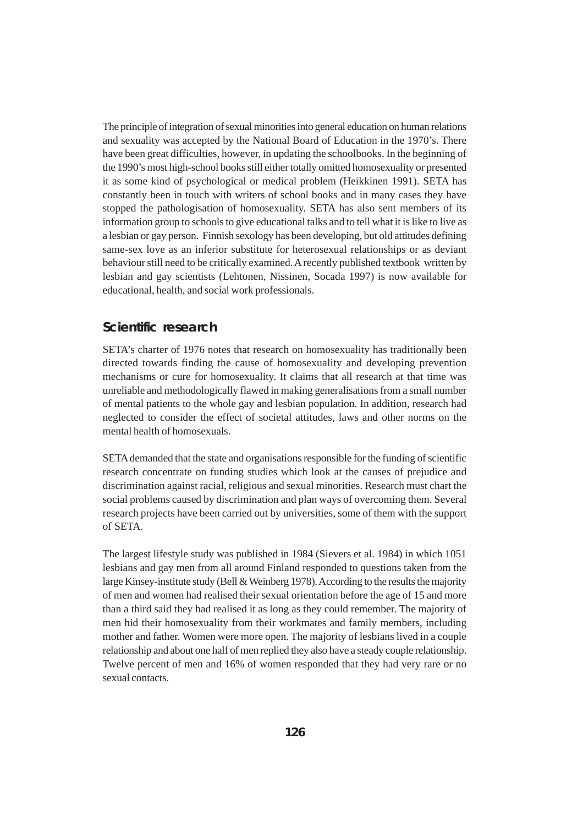The principle of integration of sexual minorities into general education on human relations and sexuality was accepted by the National Board of Education in the 1970's. There have been great difficulties, however, in updating the schoolbooks. In the beginning of the 1990's most high-school books still either totally omitted homosexuality or presented it as some kind of psychological or medical problem (Heikkinen 1991). SETA has constantly been in touch with writers of school books and in many cases they have stopped the pathologisation of homosexuality. SETA has also sent members of its information group to schools to give educational talks and to tell what it is like to live as a lesbian or gay person. Finnish sexology has been developing, but old attitudes defining same-sex love as an inferior substitute for heterosexual relationships or as deviant behaviour still need to be critically examined. A recently published textbook written by lesbian and gay scientists (Lehtonen, Nissinen, Socada 1997) is now available for educational, health, and social work professionals.

#### **Scientific research**

SETA's charter of 1976 notes that research on homosexuality has traditionally been directed towards finding the cause of homosexuality and developing prevention mechanisms or cure for homosexuality. It claims that all research at that time was unreliable and methodologically flawed in making generalisations from a small number of mental patients to the whole gay and lesbian population. In addition, research had neglected to consider the effect of societal attitudes, laws and other norms on the mental health of homosexuals.

SETA demanded that the state and organisations responsible for the funding of scientific research concentrate on funding studies which look at the causes of prejudice and discrimination against racial, religious and sexual minorities. Research must chart the social problems caused by discrimination and plan ways of overcoming them. Several research projects have been carried out by universities, some of them with the support of SETA.

The largest lifestyle study was published in 1984 (Sievers et al. 1984) in which 1051 lesbians and gay men from all around Finland responded to questions taken from the large Kinsey-institute study (Bell & Weinberg 1978). According to the results the majority of men and women had realised their sexual orientation before the age of 15 and more than a third said they had realised it as long as they could remember. The majority of men hid their homosexuality from their workmates and family members, including mother and father. Women were more open. The majority of lesbians lived in a couple relationship and about one half of men replied they also have a steady couple relationship. Twelve percent of men and 16% of women responded that they had very rare or no sexual contacts.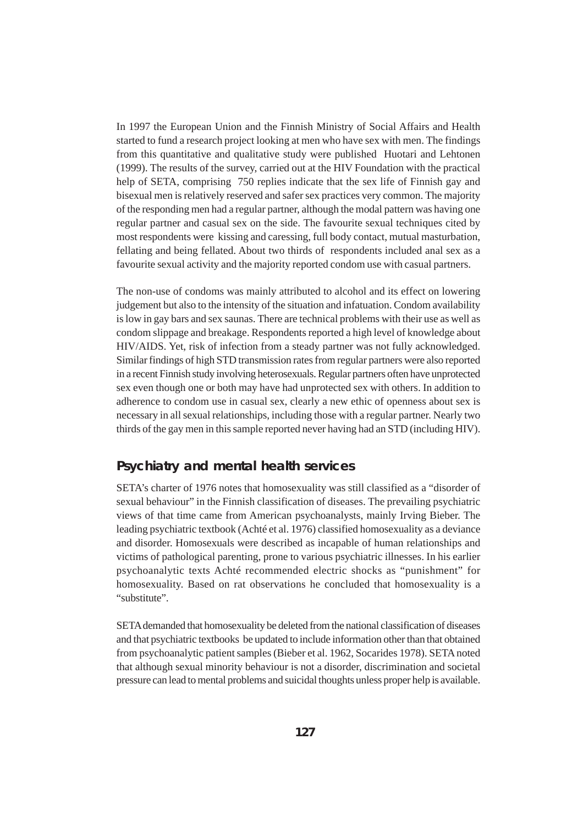In 1997 the European Union and the Finnish Ministry of Social Affairs and Health started to fund a research project looking at men who have sex with men. The findings from this quantitative and qualitative study were published Huotari and Lehtonen (1999). The results of the survey, carried out at the HIV Foundation with the practical help of SETA, comprising 750 replies indicate that the sex life of Finnish gay and bisexual men is relatively reserved and safer sex practices very common. The majority of the responding men had a regular partner, although the modal pattern was having one regular partner and casual sex on the side. The favourite sexual techniques cited by most respondents were kissing and caressing, full body contact, mutual masturbation, fellating and being fellated. About two thirds of respondents included anal sex as a favourite sexual activity and the majority reported condom use with casual partners.

The non-use of condoms was mainly attributed to alcohol and its effect on lowering judgement but also to the intensity of the situation and infatuation. Condom availability is low in gay bars and sex saunas. There are technical problems with their use as well as condom slippage and breakage. Respondents reported a high level of knowledge about HIV/AIDS. Yet, risk of infection from a steady partner was not fully acknowledged. Similar findings of high STD transmission rates from regular partners were also reported in a recent Finnish study involving heterosexuals. Regular partners often have unprotected sex even though one or both may have had unprotected sex with others. In addition to adherence to condom use in casual sex, clearly a new ethic of openness about sex is necessary in all sexual relationships, including those with a regular partner. Nearly two thirds of the gay men in this sample reported never having had an STD (including HIV).

#### **Psychiatry and mental health services**

SETA's charter of 1976 notes that homosexuality was still classified as a "disorder of sexual behaviour" in the Finnish classification of diseases. The prevailing psychiatric views of that time came from American psychoanalysts, mainly Irving Bieber. The leading psychiatric textbook (Achté et al. 1976) classified homosexuality as a deviance and disorder. Homosexuals were described as incapable of human relationships and victims of pathological parenting, prone to various psychiatric illnesses. In his earlier psychoanalytic texts Achté recommended electric shocks as "punishment" for homosexuality. Based on rat observations he concluded that homosexuality is a "substitute".

SETA demanded that homosexuality be deleted from the national classification of diseases and that psychiatric textbooks be updated to include information other than that obtained from psychoanalytic patient samples (Bieber et al. 1962, Socarides 1978). SETA noted that although sexual minority behaviour is not a disorder, discrimination and societal pressure can lead to mental problems and suicidal thoughts unless proper help is available.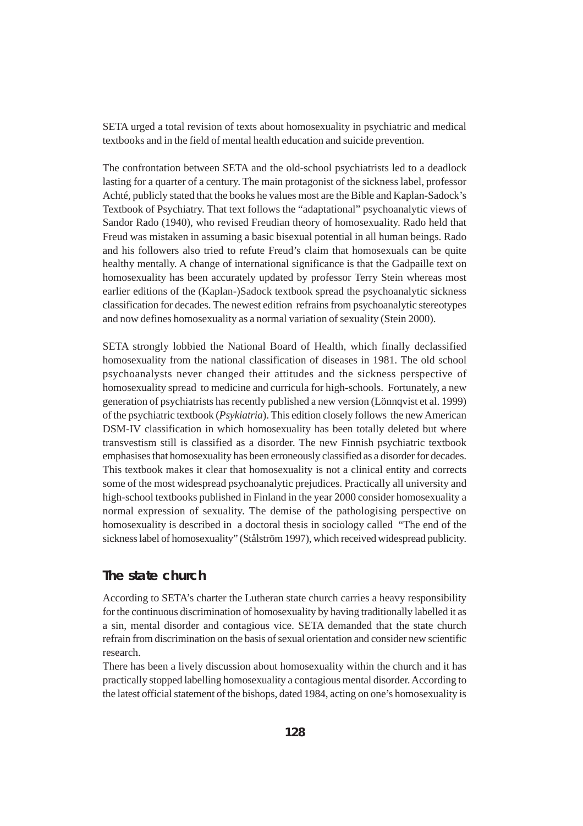SETA urged a total revision of texts about homosexuality in psychiatric and medical textbooks and in the field of mental health education and suicide prevention.

The confrontation between SETA and the old-school psychiatrists led to a deadlock lasting for a quarter of a century. The main protagonist of the sickness label, professor Achté, publicly stated that the books he values most are the Bible and Kaplan-Sadock's Textbook of Psychiatry. That text follows the "adaptational" psychoanalytic views of Sandor Rado (1940), who revised Freudian theory of homosexuality. Rado held that Freud was mistaken in assuming a basic bisexual potential in all human beings. Rado and his followers also tried to refute Freud's claim that homosexuals can be quite healthy mentally. A change of international significance is that the Gadpaille text on homosexuality has been accurately updated by professor Terry Stein whereas most earlier editions of the (Kaplan-)Sadock textbook spread the psychoanalytic sickness classification for decades. The newest edition refrains from psychoanalytic stereotypes and now defines homosexuality as a normal variation of sexuality (Stein 2000).

SETA strongly lobbied the National Board of Health, which finally declassified homosexuality from the national classification of diseases in 1981. The old school psychoanalysts never changed their attitudes and the sickness perspective of homosexuality spread to medicine and curricula for high-schools. Fortunately, a new generation of psychiatrists has recently published a new version (Lönnqvist et al. 1999) of the psychiatric textbook (*Psykiatria*). This edition closely follows the new American DSM-IV classification in which homosexuality has been totally deleted but where transvestism still is classified as a disorder. The new Finnish psychiatric textbook emphasises that homosexuality has been erroneously classified as a disorder for decades. This textbook makes it clear that homosexuality is not a clinical entity and corrects some of the most widespread psychoanalytic prejudices. Practically all university and high-school textbooks published in Finland in the year 2000 consider homosexuality a normal expression of sexuality. The demise of the pathologising perspective on homosexuality is described in a doctoral thesis in sociology called "The end of the sickness label of homosexuality" (Stålström 1997), which received widespread publicity.

#### **The state church**

According to SETA's charter the Lutheran state church carries a heavy responsibility for the continuous discrimination of homosexuality by having traditionally labelled it as a sin, mental disorder and contagious vice. SETA demanded that the state church refrain from discrimination on the basis of sexual orientation and consider new scientific research.

There has been a lively discussion about homosexuality within the church and it has practically stopped labelling homosexuality a contagious mental disorder. According to the latest official statement of the bishops, dated 1984, acting on one's homosexuality is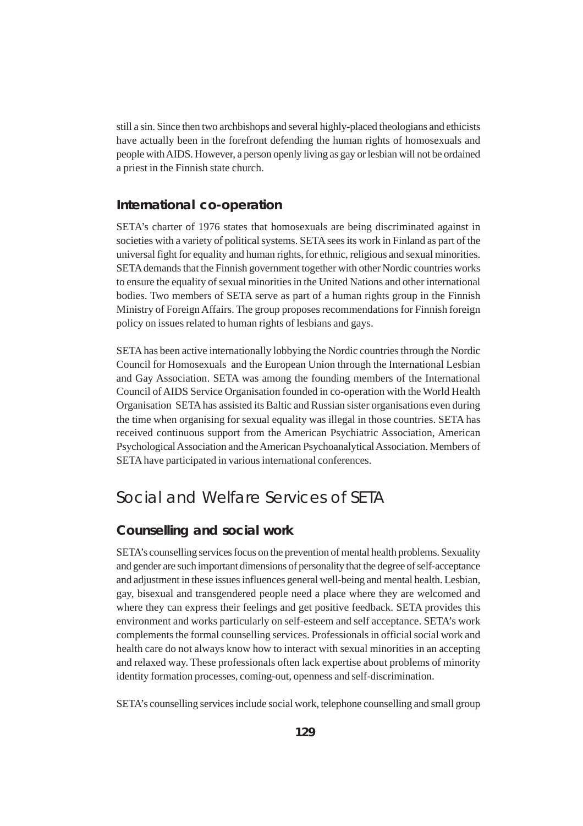still a sin. Since then two archbishops and several highly-placed theologians and ethicists have actually been in the forefront defending the human rights of homosexuals and people with AIDS. However, a person openly living as gay or lesbian will not be ordained a priest in the Finnish state church.

#### **International co-operation**

SETA's charter of 1976 states that homosexuals are being discriminated against in societies with a variety of political systems. SETA sees its work in Finland as part of the universal fight for equality and human rights, for ethnic, religious and sexual minorities. SETA demands that the Finnish government together with other Nordic countries works to ensure the equality of sexual minorities in the United Nations and other international bodies. Two members of SETA serve as part of a human rights group in the Finnish Ministry of Foreign Affairs. The group proposes recommendations for Finnish foreign policy on issues related to human rights of lesbians and gays.

SETA has been active internationally lobbying the Nordic countries through the Nordic Council for Homosexuals and the European Union through the International Lesbian and Gay Association. SETA was among the founding members of the International Council of AIDS Service Organisation founded in co-operation with the World Health Organisation SETA has assisted its Baltic and Russian sister organisations even during the time when organising for sexual equality was illegal in those countries. SETA has received continuous support from the American Psychiatric Association, American Psychological Association and the American Psychoanalytical Association. Members of SETA have participated in various international conferences.

## Social and Welfare Services of SETA

#### **Counselling and social work**

SETA's counselling services focus on the prevention of mental health problems. Sexuality and gender are such important dimensions of personality that the degree of self-acceptance and adjustment in these issues influences general well-being and mental health. Lesbian, gay, bisexual and transgendered people need a place where they are welcomed and where they can express their feelings and get positive feedback. SETA provides this environment and works particularly on self-esteem and self acceptance. SETA's work complements the formal counselling services. Professionals in official social work and health care do not always know how to interact with sexual minorities in an accepting and relaxed way. These professionals often lack expertise about problems of minority identity formation processes, coming-out, openness and self-discrimination.

SETA's counselling services include social work, telephone counselling and small group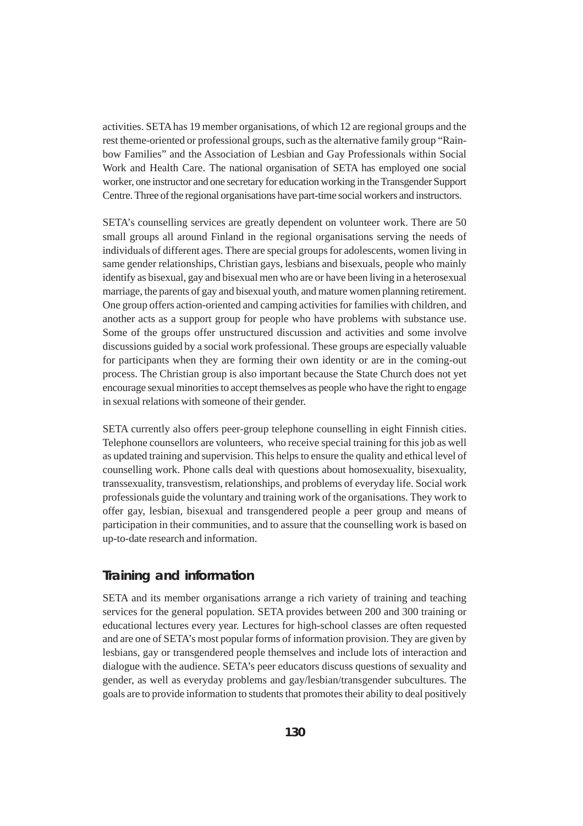activities. SETA has 19 member organisations, of which 12 are regional groups and the rest theme-oriented or professional groups, such as the alternative family group "Rainbow Families" and the Association of Lesbian and Gay Professionals within Social Work and Health Care. The national organisation of SETA has employed one social worker, one instructor and one secretary for education working in the Transgender Support Centre. Three of the regional organisations have part-time social workers and instructors.

SETA's counselling services are greatly dependent on volunteer work. There are 50 small groups all around Finland in the regional organisations serving the needs of individuals of different ages. There are special groups for adolescents, women living in same gender relationships, Christian gays, lesbians and bisexuals, people who mainly identify as bisexual, gay and bisexual men who are or have been living in a heterosexual marriage, the parents of gay and bisexual youth, and mature women planning retirement. One group offers action-oriented and camping activities for families with children, and another acts as a support group for people who have problems with substance use. Some of the groups offer unstructured discussion and activities and some involve discussions guided by a social work professional. These groups are especially valuable for participants when they are forming their own identity or are in the coming-out process. The Christian group is also important because the State Church does not yet encourage sexual minorities to accept themselves as people who have the right to engage in sexual relations with someone of their gender.

SETA currently also offers peer-group telephone counselling in eight Finnish cities. Telephone counsellors are volunteers, who receive special training for this job as well as updated training and supervision. This helps to ensure the quality and ethical level of counselling work. Phone calls deal with questions about homosexuality, bisexuality, transsexuality, transvestism, relationships, and problems of everyday life. Social work professionals guide the voluntary and training work of the organisations. They work to offer gay, lesbian, bisexual and transgendered people a peer group and means of participation in their communities, and to assure that the counselling work is based on up-to-date research and information.

#### **Training and information**

SETA and its member organisations arrange a rich variety of training and teaching services for the general population. SETA provides between 200 and 300 training or educational lectures every year. Lectures for high-school classes are often requested and are one of SETA's most popular forms of information provision. They are given by lesbians, gay or transgendered people themselves and include lots of interaction and dialogue with the audience. SETA's peer educators discuss questions of sexuality and gender, as well as everyday problems and gay/lesbian/transgender subcultures. The goals are to provide information to students that promotes their ability to deal positively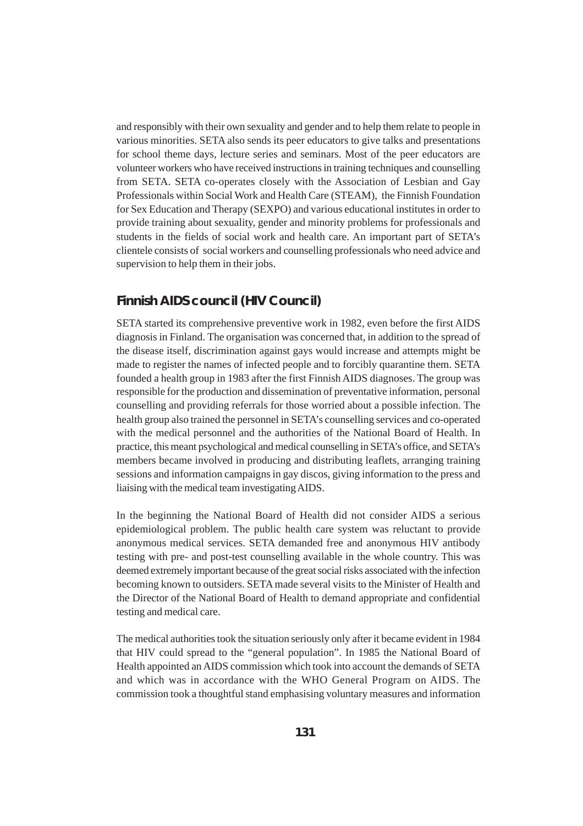and responsibly with their own sexuality and gender and to help them relate to people in various minorities. SETA also sends its peer educators to give talks and presentations for school theme days, lecture series and seminars. Most of the peer educators are volunteer workers who have received instructions in training techniques and counselling from SETA. SETA co-operates closely with the Association of Lesbian and Gay Professionals within Social Work and Health Care (STEAM), the Finnish Foundation for Sex Education and Therapy (SEXPO) and various educational institutes in order to provide training about sexuality, gender and minority problems for professionals and students in the fields of social work and health care. An important part of SETA's clientele consists of social workers and counselling professionals who need advice and supervision to help them in their jobs.

#### **Finnish AIDS council (HIV Council)**

SETA started its comprehensive preventive work in 1982, even before the first AIDS diagnosis in Finland. The organisation was concerned that, in addition to the spread of the disease itself, discrimination against gays would increase and attempts might be made to register the names of infected people and to forcibly quarantine them. SETA founded a health group in 1983 after the first Finnish AIDS diagnoses. The group was responsible for the production and dissemination of preventative information, personal counselling and providing referrals for those worried about a possible infection. The health group also trained the personnel in SETA's counselling services and co-operated with the medical personnel and the authorities of the National Board of Health. In practice, this meant psychological and medical counselling in SETA's office, and SETA's members became involved in producing and distributing leaflets, arranging training sessions and information campaigns in gay discos, giving information to the press and liaising with the medical team investigating AIDS.

In the beginning the National Board of Health did not consider AIDS a serious epidemiological problem. The public health care system was reluctant to provide anonymous medical services. SETA demanded free and anonymous HIV antibody testing with pre- and post-test counselling available in the whole country. This was deemed extremely important because of the great social risks associated with the infection becoming known to outsiders. SETA made several visits to the Minister of Health and the Director of the National Board of Health to demand appropriate and confidential testing and medical care.

The medical authorities took the situation seriously only after it became evident in 1984 that HIV could spread to the "general population". In 1985 the National Board of Health appointed an AIDS commission which took into account the demands of SETA and which was in accordance with the WHO General Program on AIDS. The commission took a thoughtful stand emphasising voluntary measures and information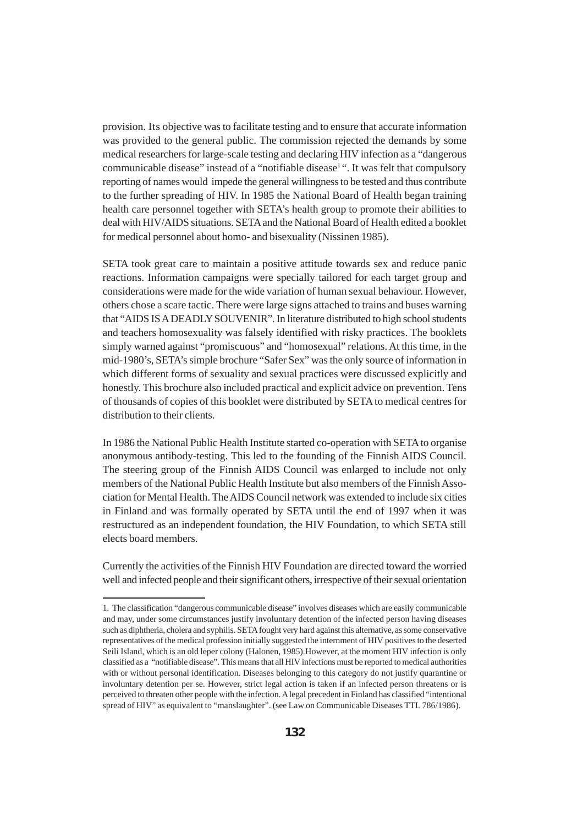provision. Its objective was to facilitate testing and to ensure that accurate information was provided to the general public. The commission rejected the demands by some medical researchers for large-scale testing and declaring HIV infection as a "dangerous communicable disease" instead of a "notifiable disease<sup>1</sup>". It was felt that compulsory reporting of names would impede the general willingness to be tested and thus contribute to the further spreading of HIV. In 1985 the National Board of Health began training health care personnel together with SETA's health group to promote their abilities to deal with HIV/AIDS situations. SETA and the National Board of Health edited a booklet for medical personnel about homo- and bisexuality (Nissinen 1985).

SETA took great care to maintain a positive attitude towards sex and reduce panic reactions. Information campaigns were specially tailored for each target group and considerations were made for the wide variation of human sexual behaviour. However, others chose a scare tactic. There were large signs attached to trains and buses warning that "AIDS IS A DEADLY SOUVENIR". In literature distributed to high school students and teachers homosexuality was falsely identified with risky practices. The booklets simply warned against "promiscuous" and "homosexual" relations. At this time, in the mid-1980's, SETA's simple brochure "Safer Sex" was the only source of information in which different forms of sexuality and sexual practices were discussed explicitly and honestly. This brochure also included practical and explicit advice on prevention. Tens of thousands of copies of this booklet were distributed by SETA to medical centres for distribution to their clients.

In 1986 the National Public Health Institute started co-operation with SETA to organise anonymous antibody-testing. This led to the founding of the Finnish AIDS Council. The steering group of the Finnish AIDS Council was enlarged to include not only members of the National Public Health Institute but also members of the Finnish Association for Mental Health. The AIDS Council network was extended to include six cities in Finland and was formally operated by SETA until the end of 1997 when it was restructured as an independent foundation, the HIV Foundation, to which SETA still elects board members.

Currently the activities of the Finnish HIV Foundation are directed toward the worried well and infected people and their significant others, irrespective of their sexual orientation

<sup>1.</sup> The classification "dangerous communicable disease" involves diseases which are easily communicable and may, under some circumstances justify involuntary detention of the infected person having diseases such as diphtheria, cholera and syphilis. SETA fought very hard against this alternative, as some conservative representatives of the medical profession initially suggested the internment of HIV positives to the deserted Seili Island, which is an old leper colony (Halonen, 1985).However, at the moment HIV infection is only classified as a "notifiable disease". This means that all HIV infections must be reported to medical authorities with or without personal identification. Diseases belonging to this category do not justify quarantine or involuntary detention per se. However, strict legal action is taken if an infected person threatens or is perceived to threaten other people with the infection. A legal precedent in Finland has classified "intentional spread of HIV" as equivalent to "manslaughter". (see Law on Communicable Diseases TTL 786/1986).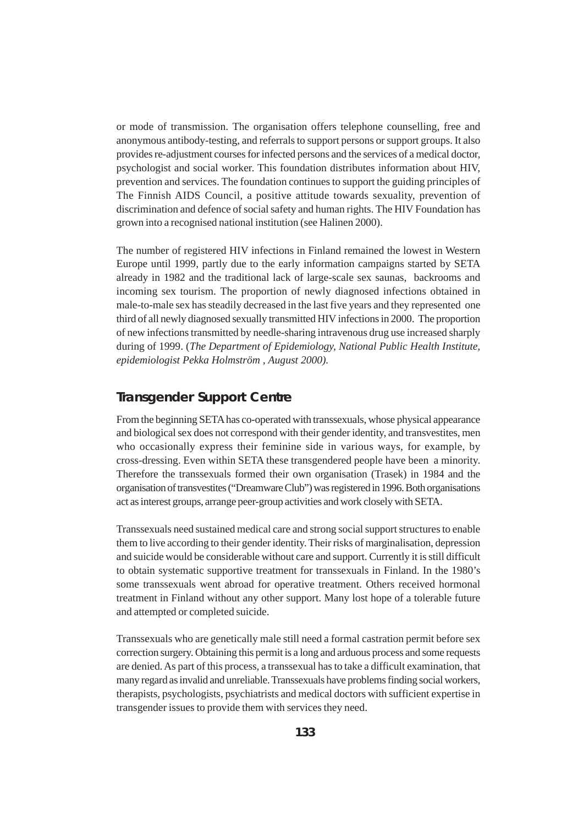or mode of transmission. The organisation offers telephone counselling, free and anonymous antibody-testing, and referrals to support persons or support groups. It also provides re-adjustment courses for infected persons and the services of a medical doctor, psychologist and social worker. This foundation distributes information about HIV, prevention and services. The foundation continues to support the guiding principles of The Finnish AIDS Council, a positive attitude towards sexuality, prevention of discrimination and defence of social safety and human rights. The HIV Foundation has grown into a recognised national institution (see Halinen 2000).

The number of registered HIV infections in Finland remained the lowest in Western Europe until 1999, partly due to the early information campaigns started by SETA already in 1982 and the traditional lack of large-scale sex saunas, backrooms and incoming sex tourism. The proportion of newly diagnosed infections obtained in male-to-male sex has steadily decreased in the last five years and they represented one third of all newly diagnosed sexually transmitted HIV infections in 2000. The proportion of new infections transmitted by needle-sharing intravenous drug use increased sharply during of 1999. (*The Department of Epidemiology, National Public Health Institute, epidemiologist Pekka Holmström , August 2000).*

#### **Transgender Support Centre**

From the beginning SETA has co-operated with transsexuals, whose physical appearance and biological sex does not correspond with their gender identity, and transvestites, men who occasionally express their feminine side in various ways, for example, by cross-dressing. Even within SETA these transgendered people have been a minority. Therefore the transsexuals formed their own organisation (Trasek) in 1984 and the organisation of transvestites ("Dreamware Club") was registered in 1996. Both organisations act as interest groups, arrange peer-group activities and work closely with SETA.

Transsexuals need sustained medical care and strong social support structures to enable them to live according to their gender identity. Their risks of marginalisation, depression and suicide would be considerable without care and support. Currently it is still difficult to obtain systematic supportive treatment for transsexuals in Finland. In the 1980's some transsexuals went abroad for operative treatment. Others received hormonal treatment in Finland without any other support. Many lost hope of a tolerable future and attempted or completed suicide.

Transsexuals who are genetically male still need a formal castration permit before sex correction surgery. Obtaining this permit is a long and arduous process and some requests are denied. As part of this process, a transsexual has to take a difficult examination, that many regard as invalid and unreliable. Transsexuals have problems finding social workers, therapists, psychologists, psychiatrists and medical doctors with sufficient expertise in transgender issues to provide them with services they need.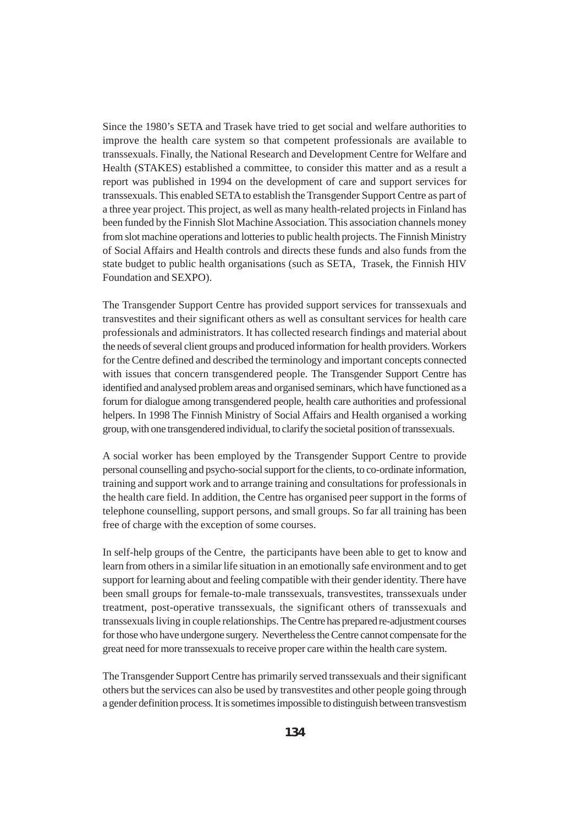Since the 1980's SETA and Trasek have tried to get social and welfare authorities to improve the health care system so that competent professionals are available to transsexuals. Finally, the National Research and Development Centre for Welfare and Health (STAKES) established a committee, to consider this matter and as a result a report was published in 1994 on the development of care and support services for transsexuals. This enabled SETA to establish the Transgender Support Centre as part of a three year project. This project, as well as many health-related projects in Finland has been funded by the Finnish Slot Machine Association. This association channels money from slot machine operations and lotteries to public health projects. The Finnish Ministry of Social Affairs and Health controls and directs these funds and also funds from the state budget to public health organisations (such as SETA, Trasek, the Finnish HIV Foundation and SEXPO).

The Transgender Support Centre has provided support services for transsexuals and transvestites and their significant others as well as consultant services for health care professionals and administrators. It has collected research findings and material about the needs of several client groups and produced information for health providers. Workers for the Centre defined and described the terminology and important concepts connected with issues that concern transgendered people. The Transgender Support Centre has identified and analysed problem areas and organised seminars, which have functioned as a forum for dialogue among transgendered people, health care authorities and professional helpers. In 1998 The Finnish Ministry of Social Affairs and Health organised a working group, with one transgendered individual, to clarify the societal position of transsexuals.

A social worker has been employed by the Transgender Support Centre to provide personal counselling and psycho-social support for the clients, to co-ordinate information, training and support work and to arrange training and consultations for professionals in the health care field. In addition, the Centre has organised peer support in the forms of telephone counselling, support persons, and small groups. So far all training has been free of charge with the exception of some courses.

In self-help groups of the Centre, the participants have been able to get to know and learn from others in a similar life situation in an emotionally safe environment and to get support for learning about and feeling compatible with their gender identity. There have been small groups for female-to-male transsexuals, transvestites, transsexuals under treatment, post-operative transsexuals, the significant others of transsexuals and transsexuals living in couple relationships. The Centre has prepared re-adjustment courses for those who have undergone surgery. Nevertheless the Centre cannot compensate for the great need for more transsexuals to receive proper care within the health care system.

The Transgender Support Centre has primarily served transsexuals and their significant others but the services can also be used by transvestites and other people going through a gender definition process. It is sometimes impossible to distinguish between transvestism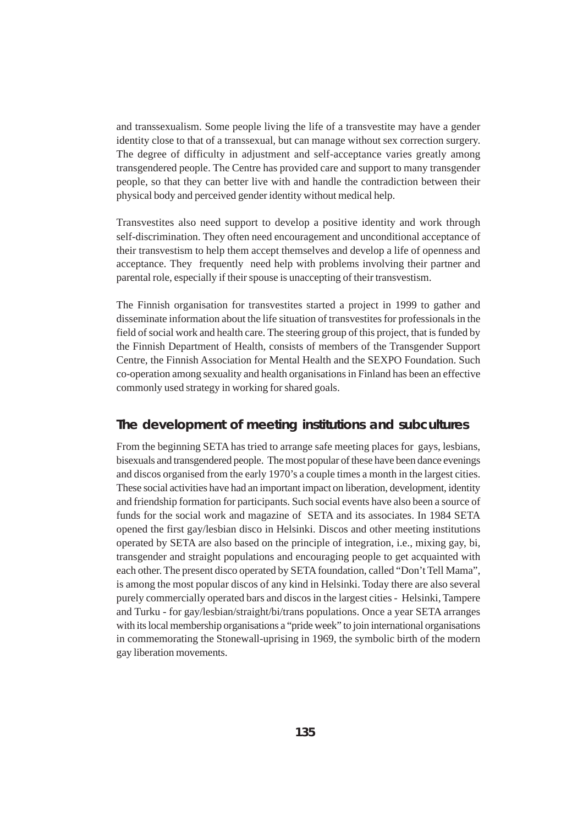and transsexualism. Some people living the life of a transvestite may have a gender identity close to that of a transsexual, but can manage without sex correction surgery. The degree of difficulty in adjustment and self-acceptance varies greatly among transgendered people. The Centre has provided care and support to many transgender people, so that they can better live with and handle the contradiction between their physical body and perceived gender identity without medical help.

Transvestites also need support to develop a positive identity and work through self-discrimination. They often need encouragement and unconditional acceptance of their transvestism to help them accept themselves and develop a life of openness and acceptance. They frequently need help with problems involving their partner and parental role, especially if their spouse is unaccepting of their transvestism.

The Finnish organisation for transvestites started a project in 1999 to gather and disseminate information about the life situation of transvestites for professionals in the field of social work and health care. The steering group of this project, that is funded by the Finnish Department of Health, consists of members of the Transgender Support Centre, the Finnish Association for Mental Health and the SEXPO Foundation. Such co-operation among sexuality and health organisations in Finland has been an effective commonly used strategy in working for shared goals.

#### **The development of meeting institutions and subcultures**

From the beginning SETA has tried to arrange safe meeting places for gays, lesbians, bisexuals and transgendered people. The most popular of these have been dance evenings and discos organised from the early 1970's a couple times a month in the largest cities. These social activities have had an important impact on liberation, development, identity and friendship formation for participants. Such social events have also been a source of funds for the social work and magazine of SETA and its associates. In 1984 SETA opened the first gay/lesbian disco in Helsinki. Discos and other meeting institutions operated by SETA are also based on the principle of integration, i.e., mixing gay, bi, transgender and straight populations and encouraging people to get acquainted with each other. The present disco operated by SETA foundation, called "Don't Tell Mama", is among the most popular discos of any kind in Helsinki. Today there are also several purely commercially operated bars and discos in the largest cities - Helsinki, Tampere and Turku - for gay/lesbian/straight/bi/trans populations. Once a year SETA arranges with its local membership organisations a "pride week" to join international organisations in commemorating the Stonewall-uprising in 1969, the symbolic birth of the modern gay liberation movements.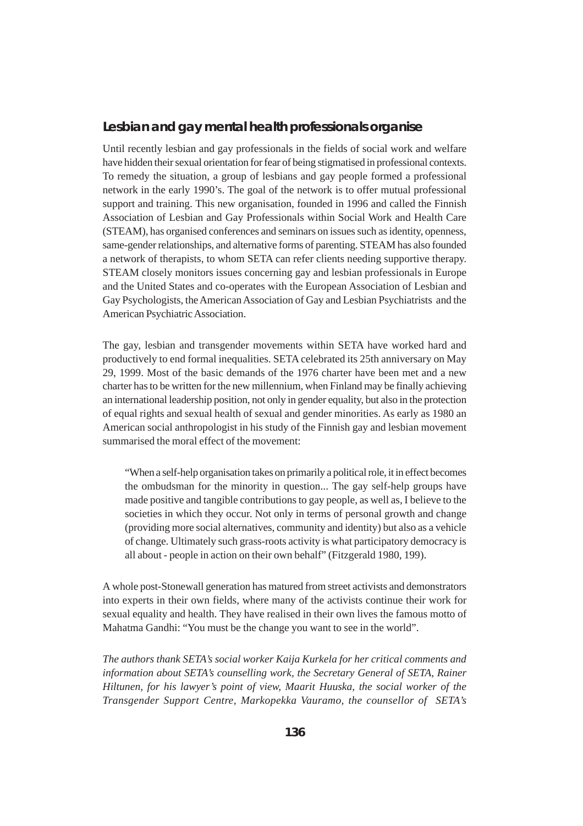#### **Lesbian and gay mental health professionals organise**

Until recently lesbian and gay professionals in the fields of social work and welfare have hidden their sexual orientation for fear of being stigmatised in professional contexts. To remedy the situation, a group of lesbians and gay people formed a professional network in the early 1990's. The goal of the network is to offer mutual professional support and training. This new organisation, founded in 1996 and called the Finnish Association of Lesbian and Gay Professionals within Social Work and Health Care (STEAM), has organised conferences and seminars on issues such as identity, openness, same-gender relationships, and alternative forms of parenting. STEAM has also founded a network of therapists, to whom SETA can refer clients needing supportive therapy. STEAM closely monitors issues concerning gay and lesbian professionals in Europe and the United States and co-operates with the European Association of Lesbian and Gay Psychologists, the American Association of Gay and Lesbian Psychiatrists and the American Psychiatric Association.

The gay, lesbian and transgender movements within SETA have worked hard and productively to end formal inequalities. SETA celebrated its 25th anniversary on May 29, 1999. Most of the basic demands of the 1976 charter have been met and a new charter has to be written for the new millennium, when Finland may be finally achieving an international leadership position, not only in gender equality, but also in the protection of equal rights and sexual health of sexual and gender minorities. As early as 1980 an American social anthropologist in his study of the Finnish gay and lesbian movement summarised the moral effect of the movement:

"When a self-help organisation takes on primarily a political role, it in effect becomes the ombudsman for the minority in question... The gay self-help groups have made positive and tangible contributions to gay people, as well as, I believe to the societies in which they occur. Not only in terms of personal growth and change (providing more social alternatives, community and identity) but also as a vehicle of change. Ultimately such grass-roots activity is what participatory democracy is all about - people in action on their own behalf" (Fitzgerald 1980, 199).

A whole post-Stonewall generation has matured from street activists and demonstrators into experts in their own fields, where many of the activists continue their work for sexual equality and health. They have realised in their own lives the famous motto of Mahatma Gandhi: "You must be the change you want to see in the world".

*The authors thank SETA's social worker Kaija Kurkela for her critical comments and information about SETA's counselling work, the Secretary General of SETA, Rainer Hiltunen, for his lawyer's point of view, Maarit Huuska, the social worker of the Transgender Support Centre, Markopekka Vauramo, the counsellor of SETA's*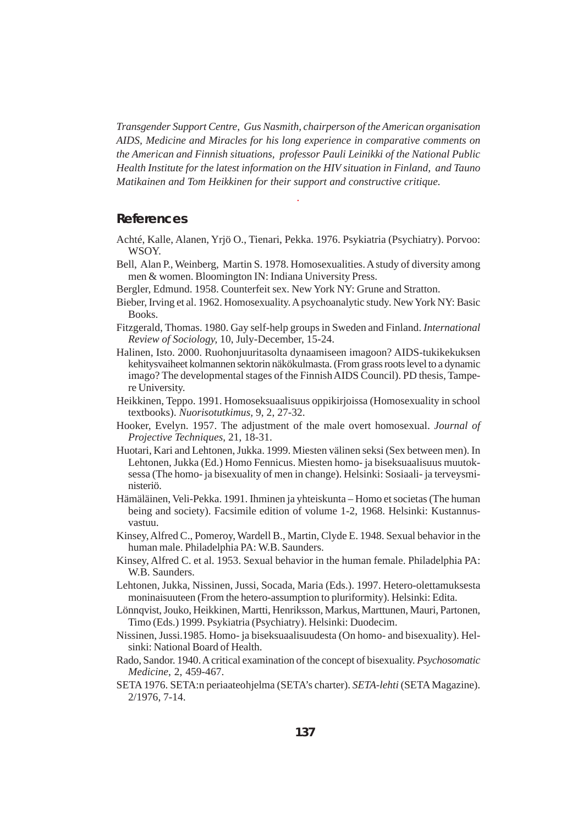*Transgender Support Centre, Gus Nasmith, chairperson of the American organisation AIDS, Medicine and Miracles for his long experience in comparative comments on the American and Finnish situations, professor Pauli Leinikki of the National Public Health Institute for the latest information on the HIV situation in Finland, and Tauno Matikainen and Tom Heikkinen for their support and constructive critique.*

*.*

#### **References**

- Achté, Kalle, Alanen, Yrjö O., Tienari, Pekka. 1976. Psykiatria (Psychiatry). Porvoo: WSOY.
- Bell, Alan P., Weinberg, Martin S. 1978. Homosexualities. A study of diversity among men & women. Bloomington IN: Indiana University Press.
- Bergler, Edmund. 1958. Counterfeit sex. New York NY: Grune and Stratton.
- Bieber, Irving et al. 1962. Homosexuality. A psychoanalytic study. New York NY: Basic Books.
- Fitzgerald, Thomas. 1980. Gay self-help groups in Sweden and Finland. *International Review of Sociology,* 10, July-December, 15-24.
- Halinen, Isto. 2000. Ruohonjuuritasolta dynaamiseen imagoon? AIDS-tukikekuksen kehitysvaiheet kolmannen sektorin näkökulmasta. (From grass roots level to a dynamic imago? The developmental stages of the Finnish AIDS Council). PD thesis, Tampere University.
- Heikkinen, Teppo. 1991. Homoseksuaalisuus oppikirjoissa (Homosexuality in school textbooks). *Nuorisotutkimus,* 9, 2, 27-32.
- Hooker, Evelyn. 1957. The adjustment of the male overt homosexual. *Journal of Projective Techniques*, 21, 18-31.
- Huotari, Kari and Lehtonen, Jukka. 1999. Miesten välinen seksi (Sex between men). In Lehtonen, Jukka (Ed.) Homo Fennicus. Miesten homo- ja biseksuaalisuus muutoksessa (The homo- ja bisexuality of men in change). Helsinki: Sosiaali- ja terveysministeriö.
- Hämäläinen, Veli-Pekka. 1991. Ihminen ja yhteiskunta Homo et societas (The human being and society). Facsimile edition of volume 1-2, 1968. Helsinki: Kustannusvastuu.
- Kinsey, Alfred C., Pomeroy, Wardell B., Martin, Clyde E. 1948. Sexual behavior in the human male. Philadelphia PA: W.B. Saunders.
- Kinsey, Alfred C. et al. 1953. Sexual behavior in the human female. Philadelphia PA: W.B. Saunders.
- Lehtonen, Jukka, Nissinen, Jussi, Socada, Maria (Eds.). 1997. Hetero-olettamuksesta moninaisuuteen (From the hetero-assumption to pluriformity). Helsinki: Edita.
- Lönnqvist, Jouko, Heikkinen, Martti, Henriksson, Markus, Marttunen, Mauri, Partonen, Timo (Eds.) 1999. Psykiatria (Psychiatry). Helsinki: Duodecim.
- Nissinen, Jussi.1985. Homo- ja biseksuaalisuudesta (On homo- and bisexuality). Helsinki: National Board of Health.
- Rado, Sandor. 1940. A critical examination of the concept of bisexuality. *Psychosomatic Medicine*, 2, 459-467.
- SETA 1976. SETA:n periaateohjelma (SETA's charter). *SETA-lehti* (SETA Magazine). 2/1976, 7-14.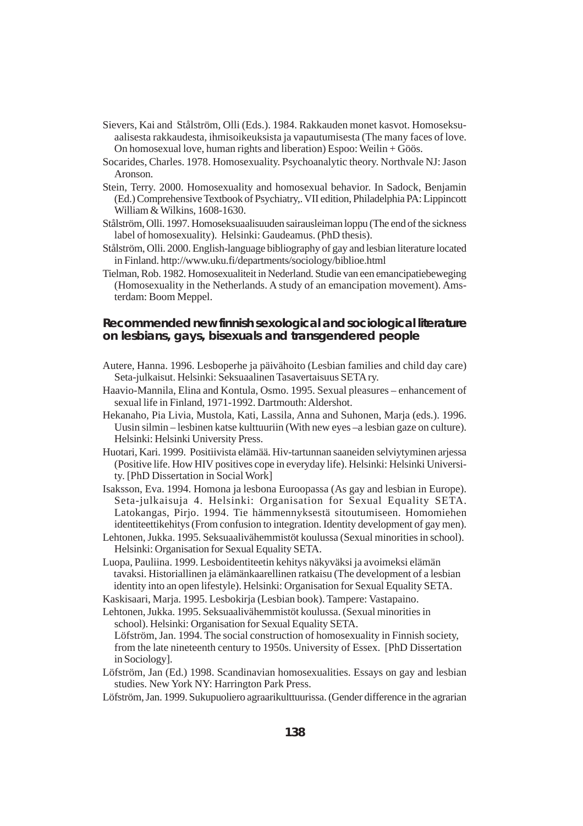- Sievers, Kai and Stålström, Olli (Eds.). 1984. Rakkauden monet kasvot. Homoseksuaalisesta rakkaudesta, ihmisoikeuksista ja vapautumisesta (The many faces of love. On homosexual love, human rights and liberation) Espoo: Weilin + Göös.
- Socarides, Charles. 1978. Homosexuality. Psychoanalytic theory. Northvale NJ: Jason Aronson.
- Stein, Terry. 2000. Homosexuality and homosexual behavior. In Sadock, Benjamin (Ed.) Comprehensive Textbook of Psychiatry,. VII edition, Philadelphia PA: Lippincott William & Wilkins, 1608-1630.
- Stålström, Olli. 1997. Homoseksuaalisuuden sairausleiman loppu (The end of the sickness label of homosexuality). Helsinki: Gaudeamus. (PhD thesis).
- Stålström, Olli. 2000. English-language bibliography of gay and lesbian literature located in Finland. http://www.uku.fi/departments/sociology/biblioe.html
- Tielman, Rob. 1982. Homosexualiteit in Nederland. Studie van een emancipatiebeweging (Homosexuality in the Netherlands. A study of an emancipation movement). Amsterdam: Boom Meppel.

#### **Recommended new finnish sexological and sociological literature on lesbians, gays, bisexuals and transgendered people**

- Autere, Hanna. 1996. Lesboperhe ja päivähoito (Lesbian families and child day care) Seta-julkaisut. Helsinki: Seksuaalinen Tasavertaisuus SETA ry.
- Haavio-Mannila, Elina and Kontula, Osmo. 1995. Sexual pleasures enhancement of sexual life in Finland, 1971-1992. Dartmouth: Aldershot.
- Hekanaho, Pia Livia, Mustola, Kati, Lassila, Anna and Suhonen, Marja (eds.). 1996. Uusin silmin – lesbinen katse kulttuuriin (With new eyes –a lesbian gaze on culture). Helsinki: Helsinki University Press.
- Huotari, Kari. 1999. Positiivista elämää. Hiv-tartunnan saaneiden selviytyminen arjessa (Positive life. How HIV positives cope in everyday life). Helsinki: Helsinki University. [PhD Dissertation in Social Work]
- Isaksson, Eva. 1994. Homona ja lesbona Euroopassa (As gay and lesbian in Europe). Seta-julkaisuja 4. Helsinki: Organisation for Sexual Equality SETA. Latokangas, Pirjo. 1994. Tie hämmennyksestä sitoutumiseen. Homomiehen identiteettikehitys (From confusion to integration. Identity development of gay men).
- Lehtonen, Jukka. 1995. Seksuaalivähemmistöt koulussa (Sexual minorities in school). Helsinki: Organisation for Sexual Equality SETA.
- Luopa, Pauliina. 1999. Lesboidentiteetin kehitys näkyväksi ja avoimeksi elämän tavaksi. Historiallinen ja elämänkaarellinen ratkaisu (The development of a lesbian identity into an open lifestyle). Helsinki: Organisation for Sexual Equality SETA.
- Kaskisaari, Marja. 1995. Lesbokirja (Lesbian book). Tampere: Vastapaino.
- Lehtonen, Jukka. 1995. Seksuaalivähemmistöt koulussa. (Sexual minorities in school). Helsinki: Organisation for Sexual Equality SETA. Löfström, Jan. 1994. The social construction of homosexuality in Finnish society,
- from the late nineteenth century to 1950s. University of Essex. [PhD Dissertation in Sociology].
- Löfström, Jan (Ed.) 1998. Scandinavian homosexualities. Essays on gay and lesbian studies. New York NY: Harrington Park Press.
- Löfström, Jan. 1999. Sukupuoliero agraarikulttuurissa. (Gender difference in the agrarian